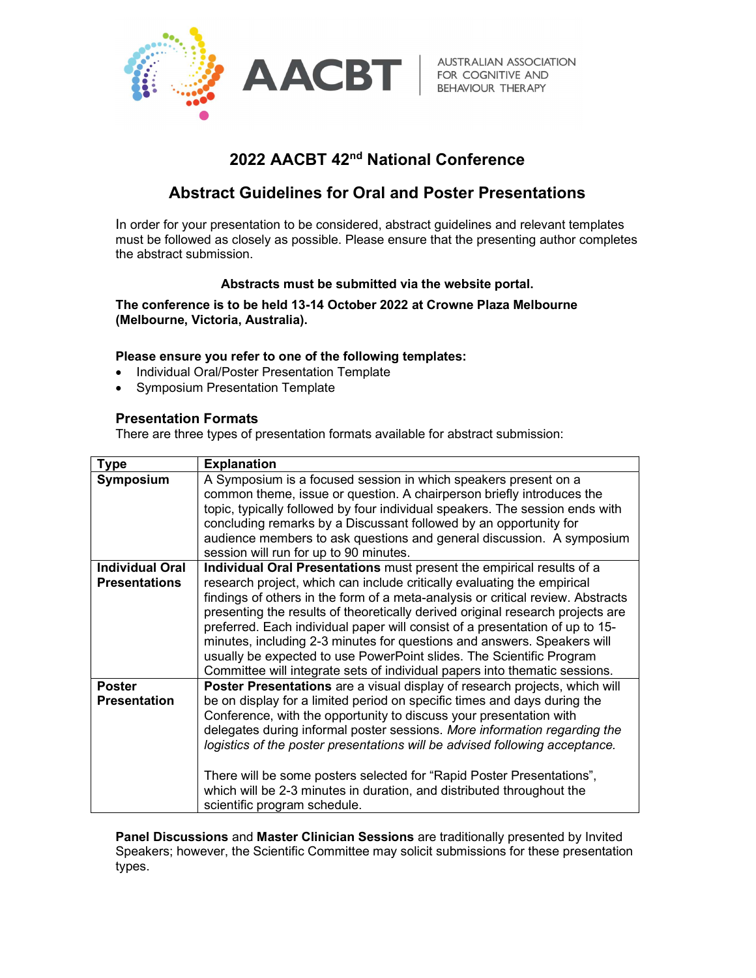

**AUSTRALIAN ASSOCIATION** 

# 2022 AACBT 42nd National Conference

## Abstract Guidelines for Oral and Poster Presentations

In order for your presentation to be considered, abstract guidelines and relevant templates must be followed as closely as possible. Please ensure that the presenting author completes the abstract submission.

### Abstracts must be submitted via the website portal.

The conference is to be held 13-14 October 2022 at Crowne Plaza Melbourne (Melbourne, Victoria, Australia).

### Please ensure you refer to one of the following templates:

- Individual Oral/Poster Presentation Template
- Symposium Presentation Template

### Presentation Formats

There are three types of presentation formats available for abstract submission:

| <b>Type</b>                          | <b>Explanation</b>                                                                                                                                                                                                                                                                                                                                                                                                                                                                                                                                                         |
|--------------------------------------|----------------------------------------------------------------------------------------------------------------------------------------------------------------------------------------------------------------------------------------------------------------------------------------------------------------------------------------------------------------------------------------------------------------------------------------------------------------------------------------------------------------------------------------------------------------------------|
| Symposium                            | A Symposium is a focused session in which speakers present on a<br>common theme, issue or question. A chairperson briefly introduces the<br>topic, typically followed by four individual speakers. The session ends with<br>concluding remarks by a Discussant followed by an opportunity for<br>audience members to ask questions and general discussion. A symposium<br>session will run for up to 90 minutes.                                                                                                                                                           |
| <b>Individual Oral</b>               | Individual Oral Presentations must present the empirical results of a                                                                                                                                                                                                                                                                                                                                                                                                                                                                                                      |
| <b>Presentations</b>                 | research project, which can include critically evaluating the empirical<br>findings of others in the form of a meta-analysis or critical review. Abstracts<br>presenting the results of theoretically derived original research projects are<br>preferred. Each individual paper will consist of a presentation of up to 15-<br>minutes, including 2-3 minutes for questions and answers. Speakers will<br>usually be expected to use PowerPoint slides. The Scientific Program<br>Committee will integrate sets of individual papers into thematic sessions.              |
| <b>Poster</b><br><b>Presentation</b> | Poster Presentations are a visual display of research projects, which will<br>be on display for a limited period on specific times and days during the<br>Conference, with the opportunity to discuss your presentation with<br>delegates during informal poster sessions. More information regarding the<br>logistics of the poster presentations will be advised following acceptance.<br>There will be some posters selected for "Rapid Poster Presentations",<br>which will be 2-3 minutes in duration, and distributed throughout the<br>scientific program schedule. |

Panel Discussions and Master Clinician Sessions are traditionally presented by Invited Speakers; however, the Scientific Committee may solicit submissions for these presentation types.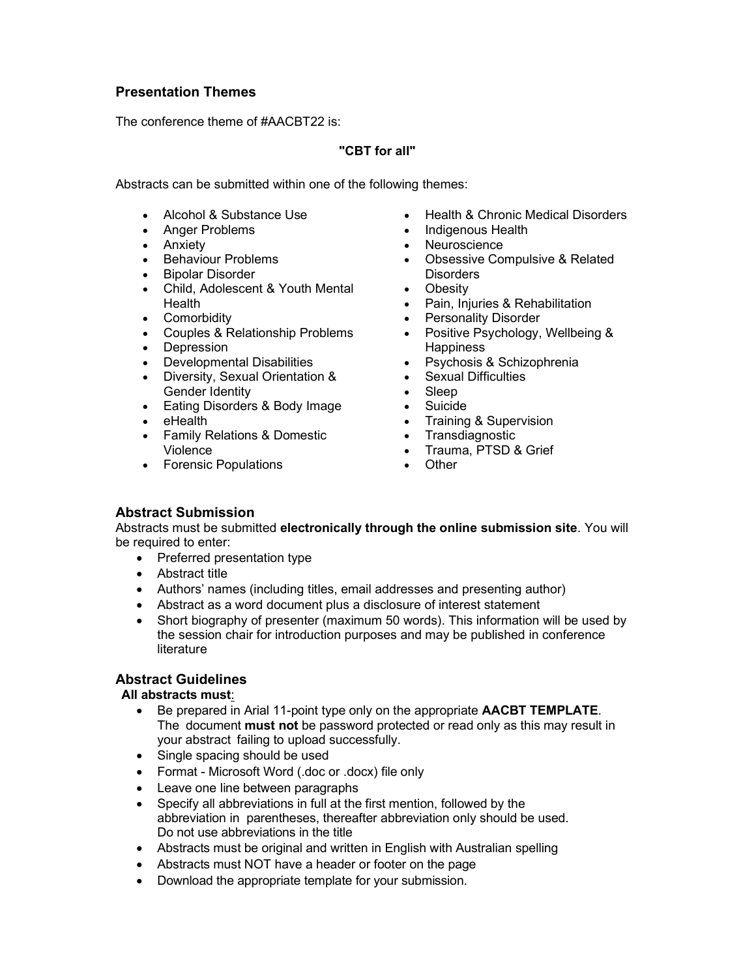## Presentation Themes

The conference theme of #AACBT22 is:

### "CBT for all"

Abstracts can be submitted within one of the following themes:

- Alcohol & Substance Use
- Anger Problems
- Anxiety
- Behaviour Problems
- Bipolar Disorder
- Child, Adolescent & Youth Mental Health
- Comorbidity
- Couples & Relationship Problems
- Depression
- Developmental Disabilities
- Diversity, Sexual Orientation & Gender Identity
- Eating Disorders & Body Image
- $\bullet$  eHealth
- Family Relations & Domestic Violence
- Forensic Populations
- Health & Chronic Medical Disorders
- Indigenous Health
- Neuroscience
- Obsessive Compulsive & Related **Disorders**
- Obesity
- Pain, Injuries & Rehabilitation
- Personality Disorder
- Positive Psychology, Wellbeing & **Happiness**
- Psychosis & Schizophrenia
- Sexual Difficulties
- Sleep
- Suicide
- Training & Supervision
- Transdiagnostic
- Trauma, PTSD & Grief
- Other

## Abstract Submission

Abstracts must be submitted electronically through the online submission site. You will be required to enter:

- Preferred presentation type
- Abstract title
- Authors' names (including titles, email addresses and presenting author)
- Abstract as a word document plus a disclosure of interest statement
- Short biography of presenter (maximum 50 words). This information will be used by the session chair for introduction purposes and may be published in conference literature

## Abstract Guidelines

#### All abstracts must:

- **Be prepared in Arial 11-point type only on the appropriate AACBT TEMPLATE.** The document **must not** be password protected or read only as this may result in your abstract failing to upload successfully.
- Single spacing should be used
- Format Microsoft Word (.doc or .docx) file only
- Leave one line between paragraphs
- Specify all abbreviations in full at the first mention, followed by the abbreviation in parentheses, thereafter abbreviation only should be used. Do not use abbreviations in the title
- Abstracts must be original and written in English with Australian spelling
- Abstracts must NOT have a header or footer on the page
- Download the appropriate template for your submission.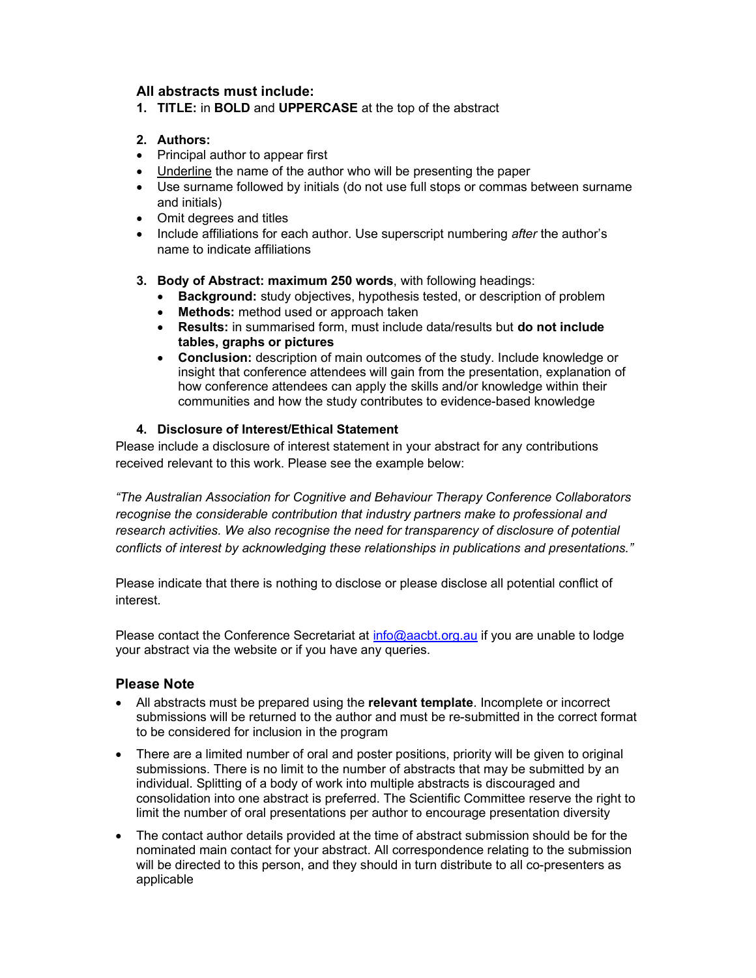## All abstracts must include:

1. TITLE: in BOLD and UPPERCASE at the top of the abstract

## 2. Authors:

- Principal author to appear first
- Underline the name of the author who will be presenting the paper
- Use surname followed by initials (do not use full stops or commas between surname and initials)
- Omit degrees and titles
- Include affiliations for each author. Use superscript numbering *after* the author's name to indicate affiliations
- 3. Body of Abstract: maximum 250 words, with following headings:
	- Background: study objectives, hypothesis tested, or description of problem
	- Methods: method used or approach taken
	- Results: in summarised form, must include data/results but do not include tables, graphs or pictures
	- Conclusion: description of main outcomes of the study. Include knowledge or insight that conference attendees will gain from the presentation, explanation of how conference attendees can apply the skills and/or knowledge within their communities and how the study contributes to evidence-based knowledge

### 4. Disclosure of Interest/Ethical Statement

Please include a disclosure of interest statement in your abstract for any contributions received relevant to this work. Please see the example below:

"The Australian Association for Cognitive and Behaviour Therapy Conference Collaborators recognise the considerable contribution that industry partners make to professional and research activities. We also recognise the need for transparency of disclosure of potential conflicts of interest by acknowledging these relationships in publications and presentations."

Please indicate that there is nothing to disclose or please disclose all potential conflict of interest.

Please contact the Conference Secretariat at info@aacbt.org.au if you are unable to lodge your abstract via the website or if you have any queries.

## Please Note

- All abstracts must be prepared using the **relevant template**. Incomplete or incorrect submissions will be returned to the author and must be re-submitted in the correct format to be considered for inclusion in the program
- There are a limited number of oral and poster positions, priority will be given to original submissions. There is no limit to the number of abstracts that may be submitted by an individual. Splitting of a body of work into multiple abstracts is discouraged and consolidation into one abstract is preferred. The Scientific Committee reserve the right to limit the number of oral presentations per author to encourage presentation diversity
- The contact author details provided at the time of abstract submission should be for the nominated main contact for your abstract. All correspondence relating to the submission will be directed to this person, and they should in turn distribute to all co-presenters as applicable